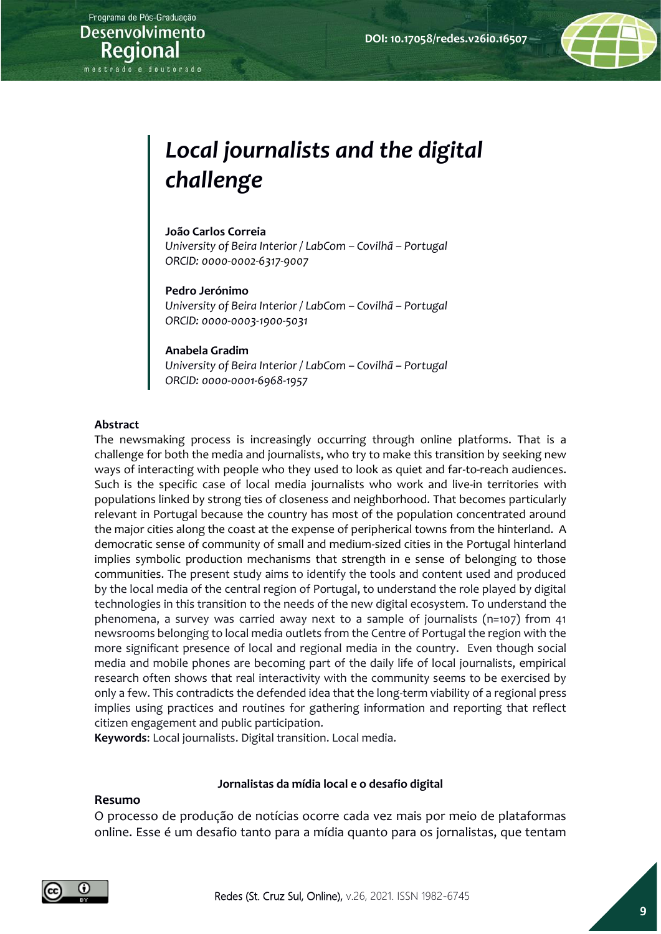# *Local journalists and the digital challenge*

# **João Carlos Correia** *University of Beira Interior / LabCom – Covilhã – Portugal ORCID: 0000-0002-6317-9007*

#### **Pedro Jerónimo**

*University of Beira Interior / LabCom – Covilhã – Portugal ORCID: 0000-0003-1900-5031*

#### **Anabela Gradim**

*University of Beira Interior / LabCom – Covilhã – Portugal ORCID: 0000-0001-6968-1957*

#### **Abstract**

Programa de Pós-Graduação **Desenvolvimento** Regional mestrado e doutorado

> The newsmaking process is increasingly occurring through online platforms. That is a challenge for both the media and journalists, who try to make this transition by seeking new ways of interacting with people who they used to look as quiet and far-to-reach audiences. Such is the specific case of local media journalists who work and live-in territories with populations linked by strong ties of closeness and neighborhood. That becomes particularly relevant in Portugal because the country has most of the population concentrated around the major cities along the coast at the expense of peripherical towns from the hinterland. A democratic sense of community of small and medium-sized cities in the Portugal hinterland implies symbolic production mechanisms that strength in e sense of belonging to those communities. The present study aims to identify the tools and content used and produced by the local media of the central region of Portugal, to understand the role played by digital technologies in this transition to the needs of the new digital ecosystem. To understand the phenomena, a survey was carried away next to a sample of journalists (n=107) from 41 newsrooms belonging to local media outlets from the Centre of Portugal the region with the more significant presence of local and regional media in the country. Even though social media and mobile phones are becoming part of the daily life of local journalists, empirical research often shows that real interactivity with the community seems to be exercised by only a few. This contradicts the defended idea that the long-term viability of a regional press implies using practices and routines for gathering information and reporting that reflect citizen engagement and public participation.

**Keywords**: Local journalists. Digital transition. Local media.

#### **Jornalistas da mídia local e o desafio digital**

#### **Resumo**

O processo de produção de notícias ocorre cada vez mais por meio de plataformas online. Esse é um desafio tanto para a mídia quanto para os jornalistas, que tentam

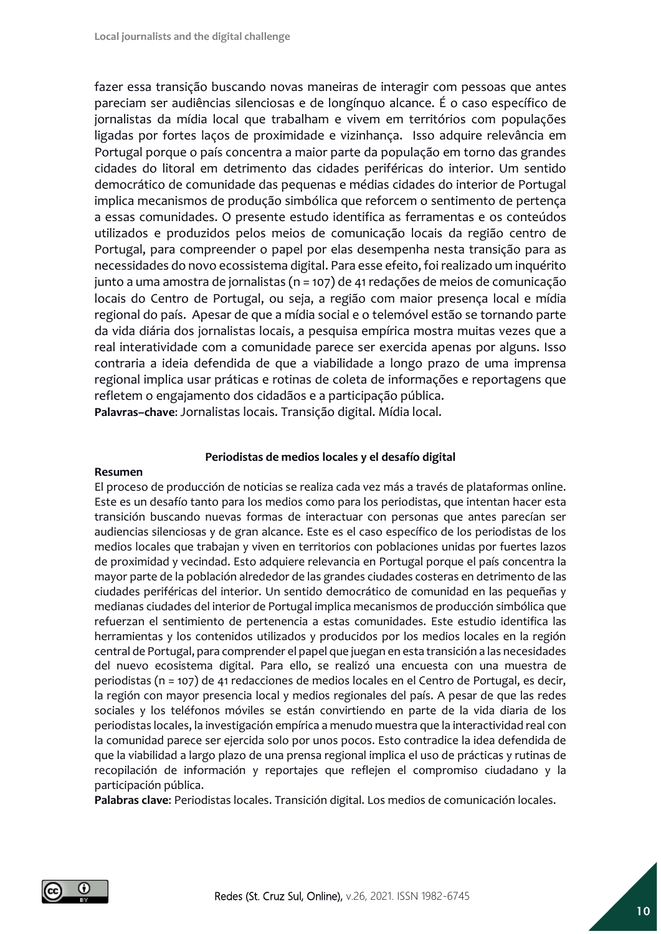fazer essa transição buscando novas maneiras de interagir com pessoas que antes pareciam ser audiências silenciosas e de longínquo alcance. É o caso específico de jornalistas da mídia local que trabalham e vivem em territórios com populações ligadas por fortes laços de proximidade e vizinhança. Isso adquire relevância em Portugal porque o país concentra a maior parte da população em torno das grandes cidades do litoral em detrimento das cidades periféricas do interior. Um sentido democrático de comunidade das pequenas e médias cidades do interior de Portugal implica mecanismos de produção simbólica que reforcem o sentimento de pertença a essas comunidades. O presente estudo identifica as ferramentas e os conteúdos utilizados e produzidos pelos meios de comunicação locais da região centro de Portugal, para compreender o papel por elas desempenha nesta transição para as necessidades do novo ecossistema digital. Para esse efeito, foi realizado um inquérito junto a uma amostra de jornalistas (n = 107) de 41 redações de meios de comunicação locais do Centro de Portugal, ou seja, a região com maior presença local e mídia regional do país. Apesar de que a mídia social e o telemóvel estão se tornando parte da vida diária dos jornalistas locais, a pesquisa empírica mostra muitas vezes que a real interatividade com a comunidade parece ser exercida apenas por alguns. Isso contraria a ideia defendida de que a viabilidade a longo prazo de uma imprensa regional implica usar práticas e rotinas de coleta de informações e reportagens que refletem o engajamento dos cidadãos e a participação pública.

**Palavras–chave**: Jornalistas locais. Transição digital. Mídia local.

#### **Periodistas de medios locales y el desafío digital**

#### **Resumen**

El proceso de producción de noticias se realiza cada vez más a través de plataformas online. Este es un desafío tanto para los medios como para los periodistas, que intentan hacer esta transición buscando nuevas formas de interactuar con personas que antes parecían ser audiencias silenciosas y de gran alcance. Este es el caso específico de los periodistas de los medios locales que trabajan y viven en territorios con poblaciones unidas por fuertes lazos de proximidad y vecindad. Esto adquiere relevancia en Portugal porque el país concentra la mayor parte de la población alrededor de las grandes ciudades costeras en detrimento de las ciudades periféricas del interior. Un sentido democrático de comunidad en las pequeñas y medianas ciudades del interior de Portugal implica mecanismos de producción simbólica que refuerzan el sentimiento de pertenencia a estas comunidades. Este estudio identifica las herramientas y los contenidos utilizados y producidos por los medios locales en la región central de Portugal, para comprender el papel que juegan en esta transición a las necesidades del nuevo ecosistema digital. Para ello, se realizó una encuesta con una muestra de periodistas (n = 107) de 41 redacciones de medios locales en el Centro de Portugal, es decir, la región con mayor presencia local y medios regionales del país. A pesar de que las redes sociales y los teléfonos móviles se están convirtiendo en parte de la vida diaria de los periodistas locales, la investigación empírica a menudo muestra que la interactividad real con la comunidad parece ser ejercida solo por unos pocos. Esto contradice la idea defendida de que la viabilidad a largo plazo de una prensa regional implica el uso de prácticas y rutinas de recopilación de información y reportajes que reflejen el compromiso ciudadano y la participación pública.

**Palabras clave**: Periodistas locales. Transición digital. Los medios de comunicación locales.

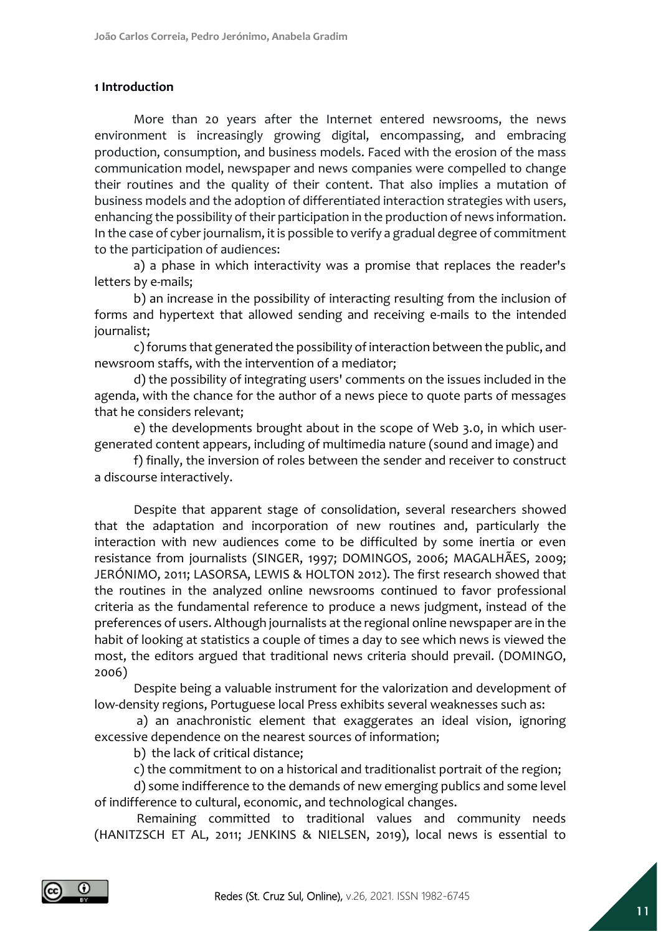# **1 Introduction**

More than 20 years after the Internet entered newsrooms, the news environment is increasingly growing digital, encompassing, and embracing production, consumption, and business models. Faced with the erosion of the mass communication model, newspaper and news companies were compelled to change their routines and the quality of their content. That also implies a mutation of business models and the adoption of differentiated interaction strategies with users, enhancing the possibility of their participation in the production of news information. In the case of cyber journalism, it is possible to verify a gradual degree of commitment to the participation of audiences:

a) a phase in which interactivity was a promise that replaces the reader's letters by e-mails;

b) an increase in the possibility of interacting resulting from the inclusion of forms and hypertext that allowed sending and receiving e-mails to the intended journalist;

c) forums that generated the possibility of interaction between the public, and newsroom staffs, with the intervention of a mediator;

d) the possibility of integrating users' comments on the issues included in the agenda, with the chance for the author of a news piece to quote parts of messages that he considers relevant;

e) the developments brought about in the scope of Web 3.0, in which usergenerated content appears, including of multimedia nature (sound and image) and

f) finally, the inversion of roles between the sender and receiver to construct a discourse interactively.

Despite that apparent stage of consolidation, several researchers showed that the adaptation and incorporation of new routines and, particularly the interaction with new audiences come to be difficulted by some inertia or even resistance from journalists (SINGER, 1997; DOMINGOS, 2006; MAGALHÃES, 2009; JERÓNIMO, 2011; LASORSA, LEWIS & HOLTON 2012). The first research showed that the routines in the analyzed online newsrooms continued to favor professional criteria as the fundamental reference to produce a news judgment, instead of the preferences of users. Although journalists at the regional online newspaper are in the habit of looking at statistics a couple of times a day to see which news is viewed the most, the editors argued that traditional news criteria should prevail. (DOMINGO, 2006)

Despite being a valuable instrument for the valorization and development of low-density regions, Portuguese local Press exhibits several weaknesses such as:

a) an anachronistic element that exaggerates an ideal vision, ignoring excessive dependence on the nearest sources of information;

b) the lack of critical distance;

c) the commitment to on a historical and traditionalist portrait of the region;

d) some indifference to the demands of new emerging publics and some level of indifference to cultural, economic, and technological changes.

Remaining committed to traditional values and community needs (HANITZSCH ET AL, 2011; JENKINS & NIELSEN, 2019), local news is essential to

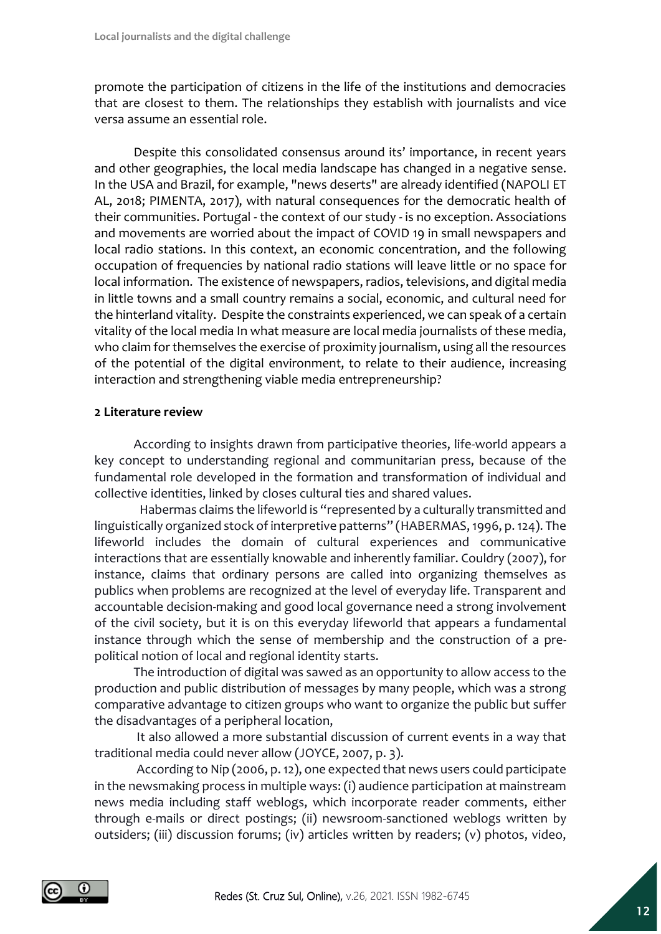promote the participation of citizens in the life of the institutions and democracies that are closest to them. The relationships they establish with journalists and vice versa assume an essential role.

Despite this consolidated consensus around its' importance, in recent years and other geographies, the local media landscape has changed in a negative sense. In the USA and Brazil, for example, "news deserts" are already identified (NAPOLI ET AL, 2018; PIMENTA, 2017), with natural consequences for the democratic health of their communities. Portugal - the context of our study - is no exception. Associations and movements are worried about the impact of COVID 19 in small newspapers and local radio stations. In this context, an economic concentration, and the following occupation of frequencies by national radio stations will leave little or no space for local information. The existence of newspapers, radios, televisions, and digital media in little towns and a small country remains a social, economic, and cultural need for the hinterland vitality. Despite the constraints experienced, we can speak of a certain vitality of the local media In what measure are local media journalists of these media, who claim for themselves the exercise of proximity journalism, using all the resources of the potential of the digital environment, to relate to their audience, increasing interaction and strengthening viable media entrepreneurship?

# **2 Literature review**

According to insights drawn from participative theories, life-world appears a key concept to understanding regional and communitarian press, because of the fundamental role developed in the formation and transformation of individual and collective identities, linked by closes cultural ties and shared values.

 Habermas claims the lifeworld is "represented by a culturally transmitted and linguistically organized stock of interpretive patterns" (HABERMAS, 1996, p. 124). The lifeworld includes the domain of cultural experiences and communicative interactions that are essentially knowable and inherently familiar. Couldry (2007), for instance, claims that ordinary persons are called into organizing themselves as publics when problems are recognized at the level of everyday life. Transparent and accountable decision-making and good local governance need a strong involvement of the civil society, but it is on this everyday lifeworld that appears a fundamental instance through which the sense of membership and the construction of a prepolitical notion of local and regional identity starts.

The introduction of digital was sawed as an opportunity to allow access to the production and public distribution of messages by many people, which was a strong comparative advantage to citizen groups who want to organize the public but suffer the disadvantages of a peripheral location,

It also allowed a more substantial discussion of current events in a way that traditional media could never allow (JOYCE, 2007, p. 3).

According to Nip (2006, p. 12), one expected that news users could participate in the newsmaking process in multiple ways: (i) audience participation at mainstream news media including staff weblogs, which incorporate reader comments, either through e-mails or direct postings; (ii) newsroom-sanctioned weblogs written by outsiders; (iii) discussion forums; (iv) articles written by readers; (v) photos, video,

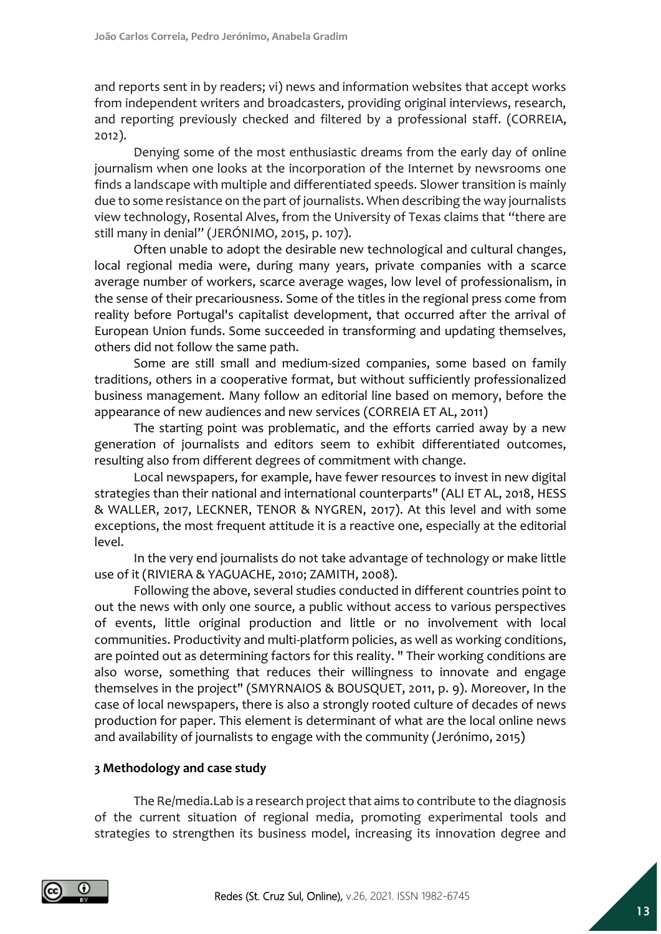and reports sent in by readers; vi) news and information websites that accept works from independent writers and broadcasters, providing original interviews, research, and reporting previously checked and filtered by a professional staff. (CORREIA, 2012).

Denying some of the most enthusiastic dreams from the early day of online journalism when one looks at the incorporation of the Internet by newsrooms one finds a landscape with multiple and differentiated speeds. Slower transition is mainly due to some resistance on the part of journalists. When describing the way journalists view technology, Rosental Alves, from the University of Texas claims that "there are still many in denial" (JERÓNIMO, 2015, p. 107).

Often unable to adopt the desirable new technological and cultural changes, local regional media were, during many years, private companies with a scarce average number of workers, scarce average wages, low level of professionalism, in the sense of their precariousness. Some of the titles in the regional press come from reality before Portugal's capitalist development, that occurred after the arrival of European Union funds. Some succeeded in transforming and updating themselves, others did not follow the same path.

Some are still small and medium-sized companies, some based on family traditions, others in a cooperative format, but without sufficiently professionalized business management. Many follow an editorial line based on memory, before the appearance of new audiences and new services (CORREIA ET AL, 2011)

The starting point was problematic, and the efforts carried away by a new generation of journalists and editors seem to exhibit differentiated outcomes, resulting also from different degrees of commitment with change.

Local newspapers, for example, have fewer resources to invest in new digital strategies than their national and international counterparts" (ALI ET AL, 2018, HESS & WALLER, 2017, LECKNER, TENOR & NYGREN, 2017). At this level and with some exceptions, the most frequent attitude it is a reactive one, especially at the editorial level.

In the very end journalists do not take advantage of technology or make little use of it (RIVIERA & YAGUACHE, 2010; ZAMITH, 2008).

Following the above, several studies conducted in different countries point to out the news with only one source, a public without access to various perspectives of events, little original production and little or no involvement with local communities. Productivity and multi-platform policies, as well as working conditions, are pointed out as determining factors for this reality. " Their working conditions are also worse, something that reduces their willingness to innovate and engage themselves in the project" (SMYRNAIOS & BOUSQUET, 2011, p. 9). Moreover, In the case of local newspapers, there is also a strongly rooted culture of decades of news production for paper. This element is determinant of what are the local online news and availability of journalists to engage with the community (Jerónimo, 2015)

# **3 Methodology and case study**

The Re/media.Lab is a research project that aims to contribute to the diagnosis of the current situation of regional media, promoting experimental tools and strategies to strengthen its business model, increasing its innovation degree and

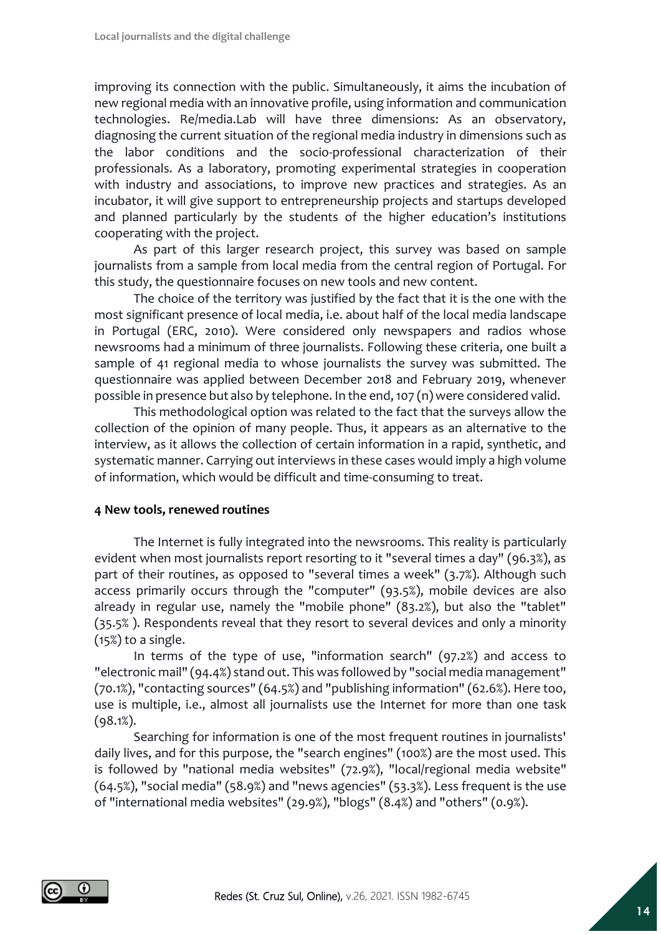improving its connection with the public. Simultaneously, it aims the incubation of new regional media with an innovative profile, using information and communication technologies. Re/media.Lab will have three dimensions: As an observatory, diagnosing the current situation of the regional media industry in dimensions such as the labor conditions and the socio-professional characterization of their professionals. As a laboratory, promoting experimental strategies in cooperation with industry and associations, to improve new practices and strategies. As an incubator, it will give support to entrepreneurship projects and startups developed and planned particularly by the students of the higher education's institutions cooperating with the project.

As part of this larger research project, this survey was based on sample journalists from a sample from local media from the central region of Portugal. For this study, the questionnaire focuses on new tools and new content.

The choice of the territory was justified by the fact that it is the one with the most significant presence of local media, i.e. about half of the local media landscape in Portugal (ERC, 2010). Were considered only newspapers and radios whose newsrooms had a minimum of three journalists. Following these criteria, one built a sample of 41 regional media to whose journalists the survey was submitted. The questionnaire was applied between December 2018 and February 2019, whenever possible in presence but also by telephone. In the end, 107 (n) were considered valid.

This methodological option was related to the fact that the surveys allow the collection of the opinion of many people. Thus, it appears as an alternative to the interview, as it allows the collection of certain information in a rapid, synthetic, and systematic manner. Carrying out interviews in these cases would imply a high volume of information, which would be difficult and time-consuming to treat.

#### **4 New tools, renewed routines**

The Internet is fully integrated into the newsrooms. This reality is particularly evident when most journalists report resorting to it "several times a day" (96.3%), as part of their routines, as opposed to "several times a week" (3.7%). Although such access primarily occurs through the "computer" (93.5%), mobile devices are also already in regular use, namely the "mobile phone" (83.2%), but also the "tablet" (35.5% ). Respondents reveal that they resort to several devices and only a minority (15%) to a single.

In terms of the type of use, "information search" (97.2%) and access to "electronic mail" (94.4%) stand out. This was followed by "social media management" (70.1%), "contacting sources" (64.5%) and "publishing information" (62.6%). Here too, use is multiple, i.e., almost all journalists use the Internet for more than one task (98.1%).

Searching for information is one of the most frequent routines in journalists' daily lives, and for this purpose, the "search engines" (100%) are the most used. This is followed by "national media websites" (72.9%), "local/regional media website" (64.5%), "social media" (58.9%) and "news agencies" (53.3%). Less frequent is the use of "international media websites" (29.9%), "blogs" (8.4%) and "others" (0.9%).

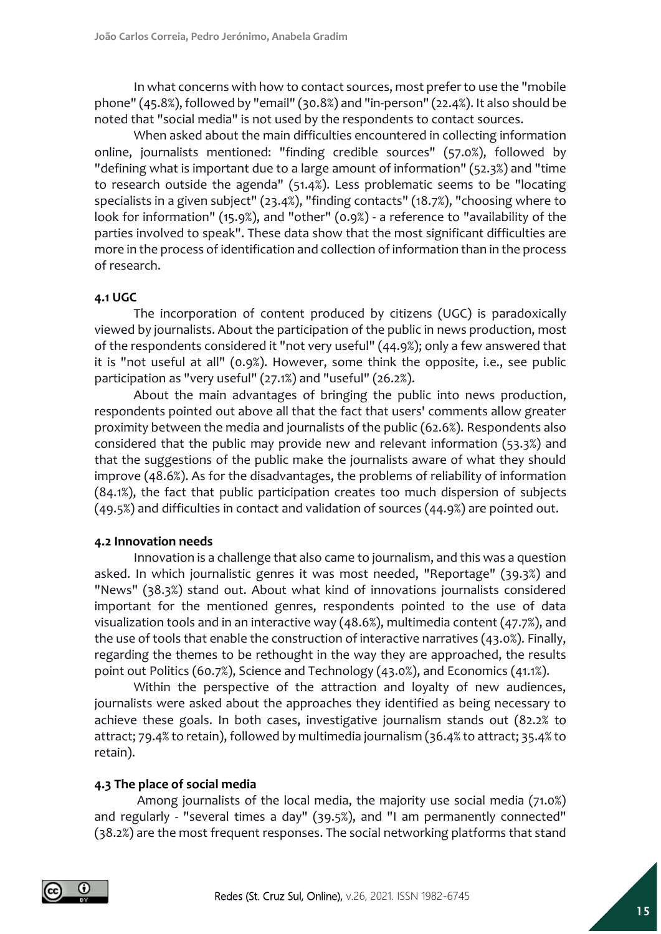In what concerns with how to contact sources, most prefer to use the "mobile phone" (45.8%), followed by "email" (30.8%) and "in-person" (22.4%). It also should be noted that "social media" is not used by the respondents to contact sources.

When asked about the main difficulties encountered in collecting information online, journalists mentioned: "finding credible sources" (57.0%), followed by "defining what is important due to a large amount of information" (52.3%) and "time to research outside the agenda" (51.4%). Less problematic seems to be "locating specialists in a given subject" (23.4%), "finding contacts" (18.7%), "choosing where to look for information" (15.9%), and "other" (0.9%) - a reference to "availability of the parties involved to speak". These data show that the most significant difficulties are more in the process of identification and collection of information than in the process of research.

# **4.1 UGC**

The incorporation of content produced by citizens (UGC) is paradoxically viewed by journalists. About the participation of the public in news production, most of the respondents considered it "not very useful" (44.9%); only a few answered that it is "not useful at all" (0.9%). However, some think the opposite, i.e., see public participation as "very useful" (27.1%) and "useful" (26.2%).

About the main advantages of bringing the public into news production, respondents pointed out above all that the fact that users' comments allow greater proximity between the media and journalists of the public (62.6%). Respondents also considered that the public may provide new and relevant information (53.3%) and that the suggestions of the public make the journalists aware of what they should improve (48.6%). As for the disadvantages, the problems of reliability of information (84.1%), the fact that public participation creates too much dispersion of subjects (49.5%) and difficulties in contact and validation of sources (44.9%) are pointed out.

# **4.2 Innovation needs**

Innovation is a challenge that also came to journalism, and this was a question asked. In which journalistic genres it was most needed, "Reportage" (39.3%) and "News" (38.3%) stand out. About what kind of innovations journalists considered important for the mentioned genres, respondents pointed to the use of data visualization tools and in an interactive way (48.6%), multimedia content (47.7%), and the use of tools that enable the construction of interactive narratives (43.0%). Finally, regarding the themes to be rethought in the way they are approached, the results point out Politics (60.7%), Science and Technology (43.0%), and Economics (41.1%).

Within the perspective of the attraction and loyalty of new audiences, journalists were asked about the approaches they identified as being necessary to achieve these goals. In both cases, investigative journalism stands out (82.2% to attract; 79.4% to retain), followed by multimedia journalism (36.4% to attract; 35.4% to retain).

# **4.3 The place of social media**

Among journalists of the local media, the majority use social media (71.0%) and regularly - "several times a day" (39.5%), and "I am permanently connected" (38.2%) are the most frequent responses. The social networking platforms that stand

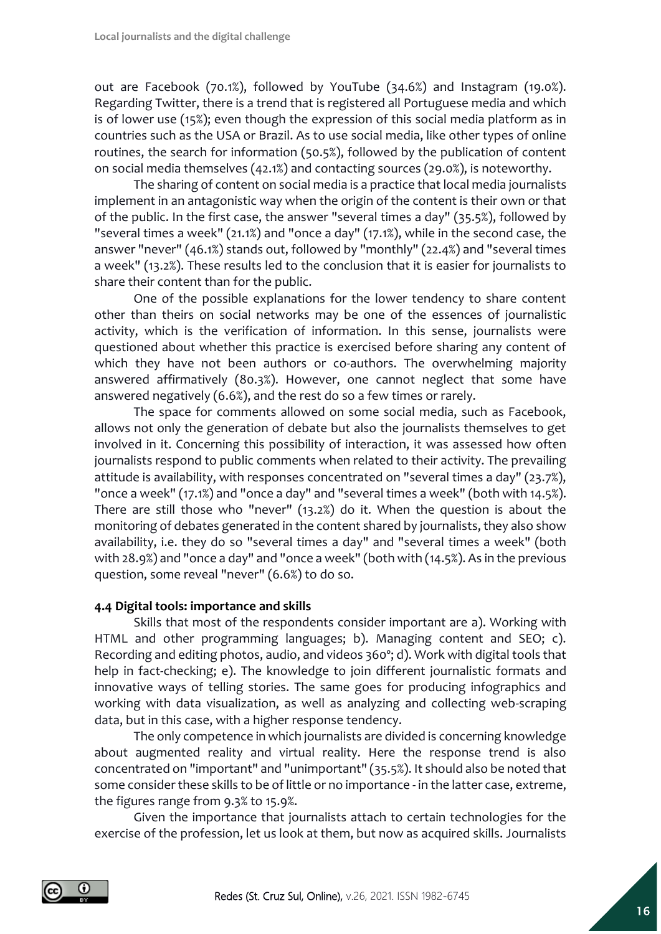out are Facebook (70.1%), followed by YouTube (34.6%) and Instagram (19.0%). Regarding Twitter, there is a trend that is registered all Portuguese media and which is of lower use (15%); even though the expression of this social media platform as in countries such as the USA or Brazil. As to use social media, like other types of online routines, the search for information (50.5%), followed by the publication of content on social media themselves (42.1%) and contacting sources (29.0%), is noteworthy.

The sharing of content on social media is a practice that local media journalists implement in an antagonistic way when the origin of the content is their own or that of the public. In the first case, the answer "several times a day" (35.5%), followed by "several times a week" (21.1%) and "once a day" (17.1%), while in the second case, the answer "never" (46.1%) stands out, followed by "monthly" (22.4%) and "several times a week" (13.2%). These results led to the conclusion that it is easier for journalists to share their content than for the public.

One of the possible explanations for the lower tendency to share content other than theirs on social networks may be one of the essences of journalistic activity, which is the verification of information. In this sense, journalists were questioned about whether this practice is exercised before sharing any content of which they have not been authors or co-authors. The overwhelming majority answered affirmatively (80.3%). However, one cannot neglect that some have answered negatively (6.6%), and the rest do so a few times or rarely.

The space for comments allowed on some social media, such as Facebook, allows not only the generation of debate but also the journalists themselves to get involved in it. Concerning this possibility of interaction, it was assessed how often journalists respond to public comments when related to their activity. The prevailing attitude is availability, with responses concentrated on "several times a day" (23.7%), "once a week" (17.1%) and "once a day" and "several times a week" (both with 14.5%). There are still those who "never" (13.2%) do it. When the question is about the monitoring of debates generated in the content shared by journalists, they also show availability, i.e. they do so "several times a day" and "several times a week" (both with 28.9%) and "once a day" and "once a week" (both with (14.5%). As in the previous question, some reveal "never" (6.6%) to do so.

# **4.4 Digital tools: importance and skills**

Skills that most of the respondents consider important are a). Working with HTML and other programming languages; b). Managing content and SEO; c). Recording and editing photos, audio, and videos 360º; d). Work with digital tools that help in fact-checking; e). The knowledge to join different journalistic formats and innovative ways of telling stories. The same goes for producing infographics and working with data visualization, as well as analyzing and collecting web-scraping data, but in this case, with a higher response tendency.

The only competence in which journalists are divided is concerning knowledge about augmented reality and virtual reality. Here the response trend is also concentrated on "important" and "unimportant" (35.5%). It should also be noted that some consider these skills to be of little or no importance - in the latter case, extreme, the figures range from 9.3% to 15.9%.

Given the importance that journalists attach to certain technologies for the exercise of the profession, let us look at them, but now as acquired skills. Journalists

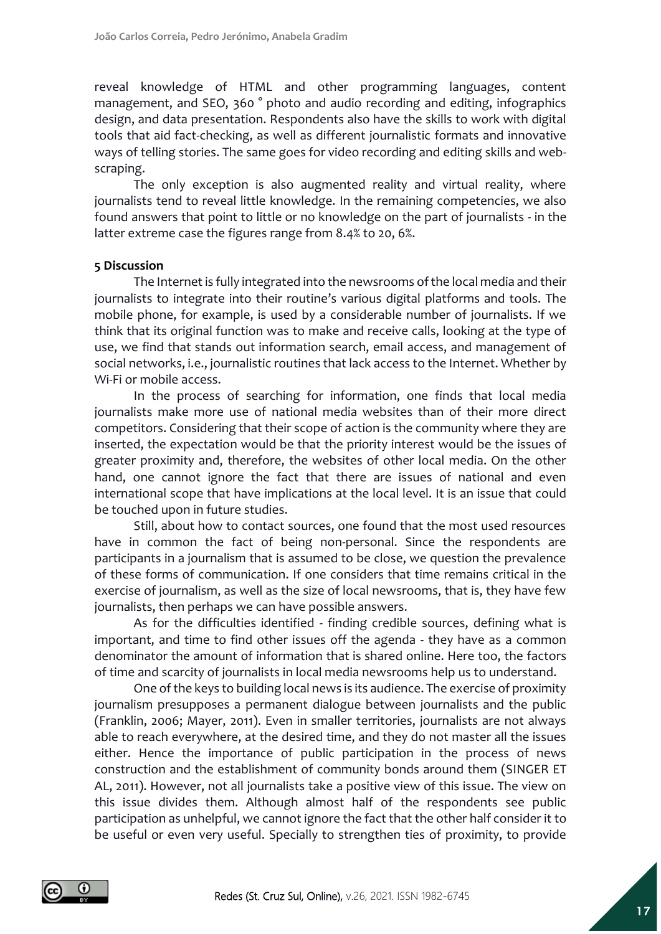reveal knowledge of HTML and other programming languages, content management, and SEO, 360 ° photo and audio recording and editing, infographics design, and data presentation. Respondents also have the skills to work with digital tools that aid fact-checking, as well as different journalistic formats and innovative ways of telling stories. The same goes for video recording and editing skills and webscraping.

The only exception is also augmented reality and virtual reality, where journalists tend to reveal little knowledge. In the remaining competencies, we also found answers that point to little or no knowledge on the part of journalists - in the latter extreme case the figures range from 8.4% to 20, 6%.

#### **5 Discussion**

The Internet is fully integrated into the newsrooms of the local media and their journalists to integrate into their routine's various digital platforms and tools. The mobile phone, for example, is used by a considerable number of journalists. If we think that its original function was to make and receive calls, looking at the type of use, we find that stands out information search, email access, and management of social networks, i.e., journalistic routines that lack access to the Internet. Whether by Wi-Fi or mobile access.

In the process of searching for information, one finds that local media journalists make more use of national media websites than of their more direct competitors. Considering that their scope of action is the community where they are inserted, the expectation would be that the priority interest would be the issues of greater proximity and, therefore, the websites of other local media. On the other hand, one cannot ignore the fact that there are issues of national and even international scope that have implications at the local level. It is an issue that could be touched upon in future studies.

Still, about how to contact sources, one found that the most used resources have in common the fact of being non-personal. Since the respondents are participants in a journalism that is assumed to be close, we question the prevalence of these forms of communication. If one considers that time remains critical in the exercise of journalism, as well as the size of local newsrooms, that is, they have few journalists, then perhaps we can have possible answers.

As for the difficulties identified - finding credible sources, defining what is important, and time to find other issues off the agenda - they have as a common denominator the amount of information that is shared online. Here too, the factors of time and scarcity of journalists in local media newsrooms help us to understand.

One of the keys to building local news is its audience. The exercise of proximity journalism presupposes a permanent dialogue between journalists and the public (Franklin, 2006; Mayer, 2011). Even in smaller territories, journalists are not always able to reach everywhere, at the desired time, and they do not master all the issues either. Hence the importance of public participation in the process of news construction and the establishment of community bonds around them (SINGER ET AL, 2011). However, not all journalists take a positive view of this issue. The view on this issue divides them. Although almost half of the respondents see public participation as unhelpful, we cannot ignore the fact that the other half consider it to be useful or even very useful. Specially to strengthen ties of proximity, to provide

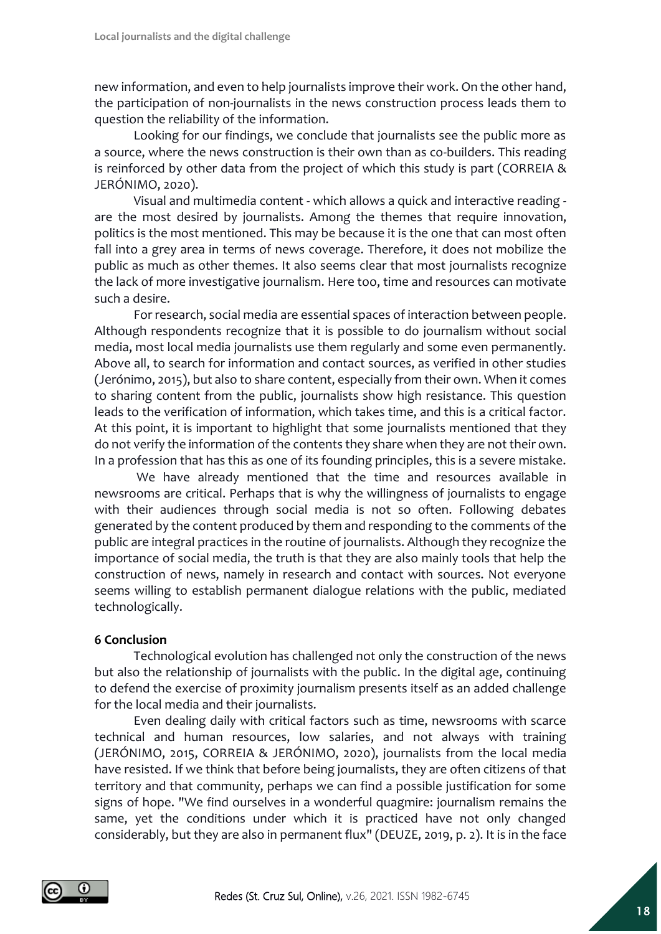new information, and even to help journalists improve their work. On the other hand, the participation of non-journalists in the news construction process leads them to question the reliability of the information.

Looking for our findings, we conclude that journalists see the public more as a source, where the news construction is their own than as co-builders. This reading is reinforced by other data from the project of which this study is part (CORREIA & JERÓNIMO, 2020).

Visual and multimedia content - which allows a quick and interactive reading are the most desired by journalists. Among the themes that require innovation, politics is the most mentioned. This may be because it is the one that can most often fall into a grey area in terms of news coverage. Therefore, it does not mobilize the public as much as other themes. It also seems clear that most journalists recognize the lack of more investigative journalism. Here too, time and resources can motivate such a desire.

For research, social media are essential spaces of interaction between people. Although respondents recognize that it is possible to do journalism without social media, most local media journalists use them regularly and some even permanently. Above all, to search for information and contact sources, as verified in other studies (Jerónimo, 2015), but also to share content, especially from their own. When it comes to sharing content from the public, journalists show high resistance. This question leads to the verification of information, which takes time, and this is a critical factor. At this point, it is important to highlight that some journalists mentioned that they do not verify the information of the contents they share when they are not their own. In a profession that has this as one of its founding principles, this is a severe mistake.

We have already mentioned that the time and resources available in newsrooms are critical. Perhaps that is why the willingness of journalists to engage with their audiences through social media is not so often. Following debates generated by the content produced by them and responding to the comments of the public are integral practices in the routine of journalists. Although they recognize the importance of social media, the truth is that they are also mainly tools that help the construction of news, namely in research and contact with sources. Not everyone seems willing to establish permanent dialogue relations with the public, mediated technologically.

# **6 Conclusion**

Technological evolution has challenged not only the construction of the news but also the relationship of journalists with the public. In the digital age, continuing to defend the exercise of proximity journalism presents itself as an added challenge for the local media and their journalists.

Even dealing daily with critical factors such as time, newsrooms with scarce technical and human resources, low salaries, and not always with training (JERÓNIMO, 2015, CORREIA & JERÓNIMO, 2020), journalists from the local media have resisted. If we think that before being journalists, they are often citizens of that territory and that community, perhaps we can find a possible justification for some signs of hope. "We find ourselves in a wonderful quagmire: journalism remains the same, yet the conditions under which it is practiced have not only changed considerably, but they are also in permanent flux" (DEUZE, 2019, p. 2). It is in the face

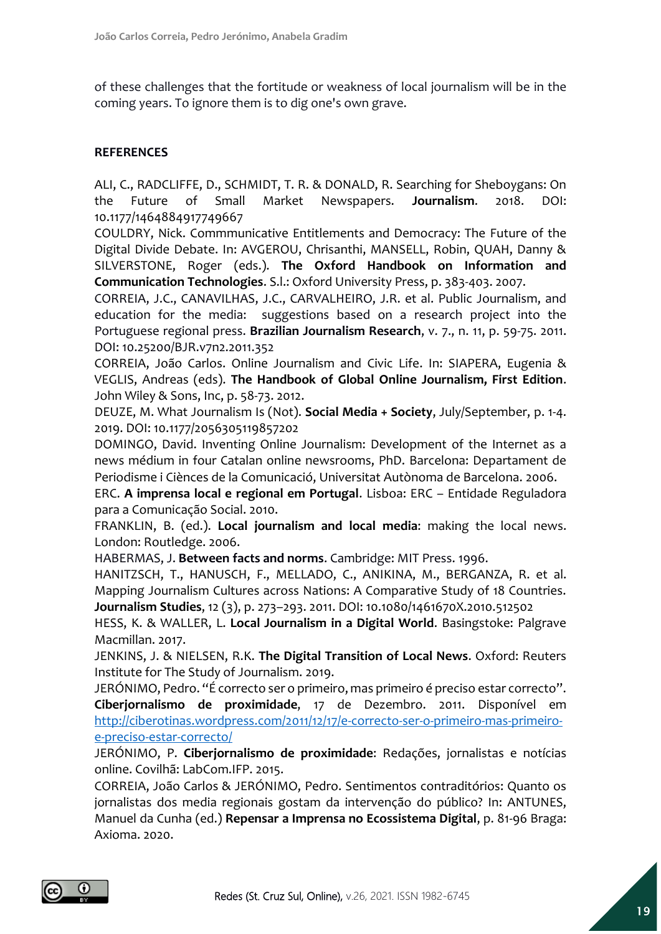of these challenges that the fortitude or weakness of local journalism will be in the coming years. To ignore them is to dig one's own grave.

# **REFERENCES**

ALI, C., RADCLIFFE, D., SCHMIDT, T. R. & DONALD, R. Searching for Sheboygans: On the Future of Small Market Newspapers. **Journalism**. 2018. DOI: 10.1177/1464884917749667

COULDRY, Nick. Commmunicative Entitlements and Democracy: The Future of the Digital Divide Debate. In: AVGEROU, Chrisanthi, MANSELL, Robin, QUAH, Danny & SILVERSTONE, Roger (eds.). **The Oxford Handbook on Information and Communication Technologies**. S.l.: Oxford University Press, p. 383-403. 2007.

CORREIA, J.C., CANAVILHAS, J.C., CARVALHEIRO, J.R. et al. Public Journalism, and education for the media: suggestions based on a research project into the Portuguese regional press. **Brazilian Journalism Research**, v. 7., n. 11, p. 59-75. 2011. DOI: 10.25200/BJR.v7n2.2011.352

CORREIA, João Carlos. Online Journalism and Civic Life. In: SIAPERA, Eugenia & VEGLIS, Andreas (eds). **The Handbook of Global Online Journalism, First Edition**. John Wiley & Sons, Inc, p. 58-73. 2012.

DEUZE, M. What Journalism Is (Not). **Social Media + Society**, July/September, p. 1-4. 2019. DOI: 10.1177/2056305119857202

DOMINGO, David. Inventing Online Journalism: Development of the Internet as a news médium in four Catalan online newsrooms, PhD. Barcelona: Departament de Periodisme i Ciènces de la Comunicació, Universitat Autònoma de Barcelona. 2006.

ERC. **A imprensa local e regional em Portugal**. Lisboa: ERC – Entidade Reguladora para a Comunicação Social. 2010.

FRANKLIN, B. (ed.). **Local journalism and local media**: making the local news. London: Routledge. 2006.

HABERMAS, J. **Between facts and norms**. Cambridge: MIT Press. 1996.

HANITZSCH, T., HANUSCH, F., MELLADO, C., ANIKINA, M., BERGANZA, R. et al. Mapping Journalism Cultures across Nations: A Comparative Study of 18 Countries. **Journalism Studies**, 12 (3), p. 273–293. 2011. DOI: 10.1080/1461670X.2010.512502

HESS, K. & WALLER, L. **Local Journalism in a Digital World**. Basingstoke: Palgrave Macmillan. 2017.

JENKINS, J. & NIELSEN, R.K. **The Digital Transition of Local News**. Oxford: Reuters Institute for The Study of Journalism. 2019.

JERÓNIMO, Pedro. "É correcto ser o primeiro, mas primeiro é preciso estar correcto". **Ciberjornalismo de proximidade**, 17 de Dezembro. 2011. Disponível em [http://ciberotinas.wordpress.com/2011/12/17/e-correcto-ser-o-primeiro-mas-primeiro](http://ciberotinas.wordpress.com/2011/12/17/e-correcto-ser-o-primeiro-mas-primeiro-e-preciso-estar-correcto/)[e-preciso-estar-correcto/](http://ciberotinas.wordpress.com/2011/12/17/e-correcto-ser-o-primeiro-mas-primeiro-e-preciso-estar-correcto/)

JERÓNIMO, P. **Ciberjornalismo de proximidade**: Redações, jornalistas e notícias online. Covilhã: LabCom.IFP. 2015.

CORREIA, João Carlos & JERÓNIMO, Pedro. Sentimentos contraditórios: Quanto os jornalistas dos media regionais gostam da intervenção do público? In: ANTUNES, Manuel da Cunha (ed.) **Repensar a Imprensa no Ecossistema Digital**, p. 81-96 Braga: Axioma. 2020.

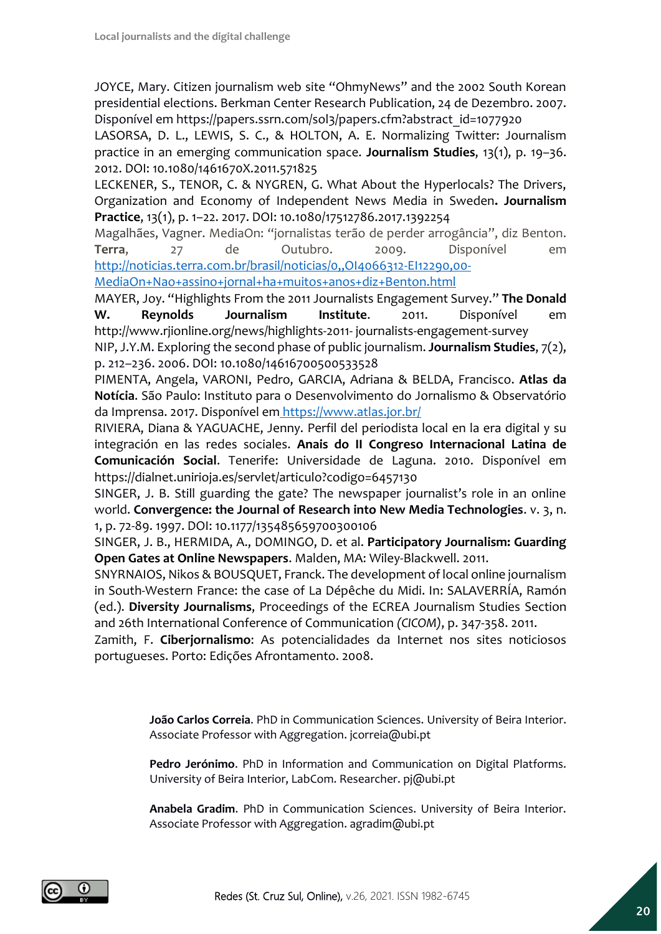JOYCE, Mary. Citizen journalism web site "OhmyNews" and the 2002 South Korean presidential elections. Berkman Center Research Publication, 24 de Dezembro. 2007. Disponível em https://papers.ssrn.com/sol3/papers.cfm?abstract\_id=1077920

LASORSA, D. L., LEWIS, S. C., & HOLTON, A. E. Normalizing Twitter: Journalism practice in an emerging communication space. **Journalism Studies**, 13(1), p. 19–36. 2012. DOI: 10.1080/1461670X.2011.571825

LECKENER, S., TENOR, C. & NYGREN, G. What About the Hyperlocals? The Drivers, Organization and Economy of Independent News Media in Sweden**. Journalism Practice**, 13(1), p. 1–22. 2017. DOI: 10.1080/17512786.2017.1392254

Magalhães, Vagner. MediaOn: "jornalistas terão de perder arrogância", diz Benton. **Terra**, 27 de Outubro. 2009. Disponível em [http://noticias.terra.com.br/brasil/noticias/0,,OI4066312-EI12290,00-](http://noticias.terra.com.br/brasil/noticias/0,,OI4066312-EI12290,00-MediaOn+Nao+assino+jornal+ha+muitos+anos+diz+Benton.html)

[MediaOn+Nao+assino+jornal+ha+muitos+anos+diz+Benton.html](http://noticias.terra.com.br/brasil/noticias/0,,OI4066312-EI12290,00-MediaOn+Nao+assino+jornal+ha+muitos+anos+diz+Benton.html)

MAYER, Joy. "Highlights From the 2011 Journalists Engagement Survey." **The Donald W. Reynolds Journalism Institute**. 2011. Disponível em http://www.rjionline.org/news/highlights-2011- journalists-engagement-survey

NIP, J.Y.M. Exploring the second phase of public journalism. **Journalism Studies**, 7(2), p. 212–236. 2006. DOI: 10.1080/14616700500533528

PIMENTA, Angela, VARONI, Pedro, GARCIA, Adriana & BELDA, Francisco. **Atlas da Notícia**. São Paulo: Instituto para o Desenvolvimento do Jornalismo & Observatório da Imprensa. 2017. Disponível em <https://www.atlas.jor.br/>

RIVIERA, Diana & YAGUACHE, Jenny. Perfil del periodista local en la era digital y su integración en las redes sociales. **Anais do II Congreso Internacional Latina de Comunicación Social**. Tenerife: Universidade de Laguna. 2010. Disponível em https://dialnet.unirioja.es/servlet/articulo?codigo=6457130

SINGER, J. B. Still guarding the gate? The newspaper journalist's role in an online world. **Convergence: the Journal of Research into New Media Technologies**. v. 3, n. 1, p. 72-89. 1997. DOI: 10.1177/135485659700300106

SINGER, J. B., HERMIDA, A., DOMINGO, D. et al. **Participatory Journalism: Guarding Open Gates at Online Newspapers**. Malden, MA: Wiley-Blackwell. 2011.

SNYRNAIOS, Nikos & BOUSQUET, Franck. The development of local online journalism in South-Western France: the case of La Dépêche du Midi. In: SALAVERRÍA, Ramón (ed.). **Diversity Journalisms**, Proceedings of the ECREA Journalism Studies Section and 26th International Conference of Communication *(CICOM)*, p. 347-358. 2011.

Zamith, F. **Ciberjornalismo**: As potencialidades da Internet nos sites noticiosos portugueses. Porto: Edições Afrontamento. 2008.

> **João Carlos Correia**. PhD in Communication Sciences. University of Beira Interior. Associate Professor with Aggregation. jcorreia@ubi.pt

> **Pedro Jerónimo**. PhD in Information and Communication on Digital Platforms. University of Beira Interior, LabCom. Researcher. pj@ubi.pt

> **Anabela Gradim**. PhD in Communication Sciences. University of Beira Interior. Associate Professor with Aggregation. agradim@ubi.pt